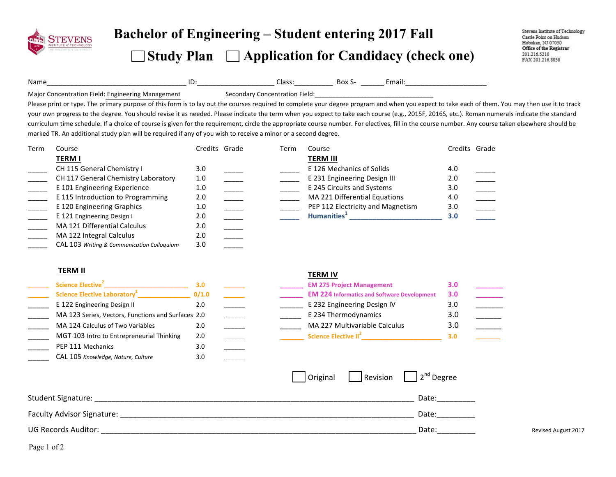

# **Bachelor of Engineering – Student entering 2017 Fall**

### □ Study Plan □ Application for Candidacy (check one)

Stevens Institute of Technology Castle Point on Hudson Hoboken, NJ 07030 Office of the Registrar 201.216.5210 FAX 201.216.8030

Name\_\_\_\_\_\_\_\_\_\_\_\_\_\_\_\_\_\_\_\_\_\_\_\_\_\_\_\_\_\_\_\_\_\_\_\_ ID:\_\_\_\_\_\_\_\_\_\_\_\_\_\_\_\_\_\_\_\_ Class:\_\_\_\_\_\_\_\_\_\_ Box S- \_\_\_\_\_\_ Email:\_\_\_\_\_\_\_\_\_\_\_\_\_\_\_\_\_\_\_\_\_ 

Major Concentration Field: Engineering Management Secondary Concentration Field: \_\_\_\_\_\_\_\_\_\_\_\_\_\_\_\_\_\_\_\_\_\_\_\_\_\_\_\_\_

Please print or type. The primary purpose of this form is to lay out the courses required to complete your degree program and when you expect to take each of them. You may then use it to track your own progress to the degree. You should revise it as needed. Please indicate the term when you expect to take each course (e.g., 2015F, 2016S, etc.). Roman numerals indicate the standard curriculum time schedule. If a choice of course is given for the requirement, circle the appropriate course number. For electives, fill in the course number. Any course taken elsewhere should be marked TR. An additional study plan will be required if any of you wish to receive a minor or a second degree.

| Term | Course                                     | Credits Grade | Term | Course                            | Credits Grade |  |
|------|--------------------------------------------|---------------|------|-----------------------------------|---------------|--|
|      | <b>TERM I</b>                              |               |      | TERM III                          |               |  |
|      | CH 115 General Chemistry I                 | 3.0           |      | E 126 Mechanics of Solids         | 4.0           |  |
|      | CH 117 General Chemistry Laboratory        | 1.0           |      | E 231 Engineering Design III      | 2.0           |  |
|      | E 101 Engineering Experience               | 1.0           |      | E 245 Circuits and Systems        | 3.0           |  |
|      | E 115 Introduction to Programming          | 2.0           |      | MA 221 Differential Equations     | 4.0           |  |
|      | E 120 Engineering Graphics                 | 1.0           |      | PEP 112 Electricity and Magnetism | 3.0           |  |
|      | E 121 Engineering Design I                 | 2.0           |      | Humanities <sup>+</sup>           | 3.0           |  |
|      | MA 121 Differential Calculus               | 2.0           |      |                                   |               |  |
|      | MA 122 Integral Calculus                   | 2.0           |      |                                   |               |  |
|      | CAL 103 Writing & Communication Colloquium | 3.0           |      |                                   |               |  |

| <b>TERM II</b>                                     |       | TERM IV                                            |     |                     |
|----------------------------------------------------|-------|----------------------------------------------------|-----|---------------------|
| Science Elective <sup>2</sup>                      | 3.0   | <b>EM 275 Project Management</b>                   | 3.0 |                     |
| Science Elective Laboratory <sup>2</sup>           | 0/1.0 | <b>EM 224 Informatics and Software Development</b> | 3.0 |                     |
| E 122 Engineering Design II                        | 2.0   | E 232 Engineering Design IV                        | 3.0 |                     |
| MA 123 Series, Vectors, Functions and Surfaces 2.0 |       | E 234 Thermodynamics                               | 3.0 | $\frac{1}{2}$       |
| MA 124 Calculus of Two Variables                   | 2.0   | MA 227 Multivariable Calculus                      | 3.0 | $\frac{1}{2}$       |
| MGT 103 Intro to Entrepreneurial Thinking          | 2.0   | Science Elective II <sup>2</sup>                   | 3.0 |                     |
| PEP 111 Mechanics                                  | 3.0   |                                                    |     |                     |
| CAL 105 Knowledge, Nature, Culture                 | 3.0   |                                                    |     |                     |
|                                                    |       | 2 <sup>nd</sup> Degree<br>Revision<br>Original     |     |                     |
| <b>Student Signature:</b>                          |       | Date:                                              |     |                     |
| Faculty Advisor Signature:                         |       | Date:                                              |     |                     |
| <b>UG Records Auditor:</b>                         |       | Date:                                              |     | Revised August 2017 |
|                                                    |       |                                                    |     |                     |